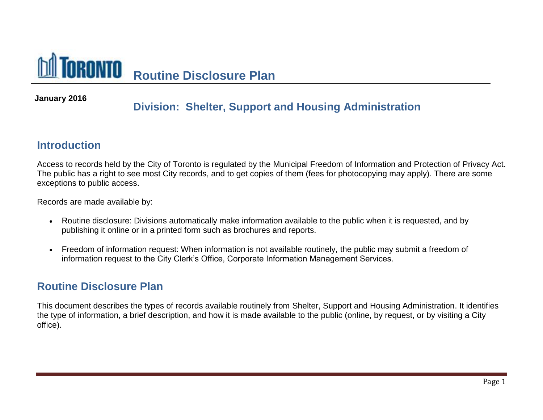

## **January 2016**

## **Division: Shelter, Support and Housing Administration**

## **Introduction**

Access to records held by the City of Toronto is regulated by the Municipal Freedom of Information and Protection of Privacy Act. The public has a right to see most City records, and to get copies of them (fees for photocopying may apply). There are some exceptions to public access.

Records are made available by:

- Routine disclosure: Divisions automatically make information available to the public when it is requested, and by publishing it online or in a printed form such as brochures and reports.
- Freedom of information request: When information is not available routinely, the public may submit a freedom of information request to the City Clerk's Office, Corporate Information Management Services.

## **Routine Disclosure Plan**

This document describes the types of records available routinely from Shelter, Support and Housing Administration. It identifies the type of information, a brief description, and how it is made available to the public (online, by request, or by visiting a City office).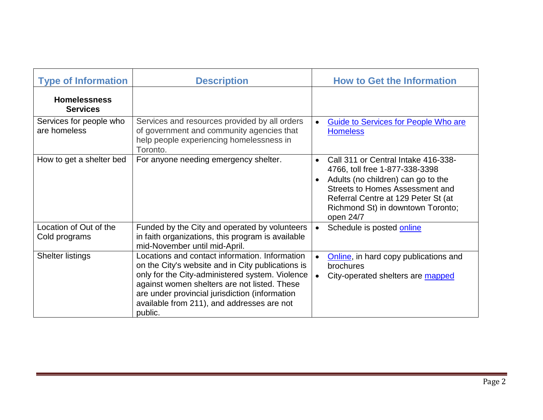| <b>Type of Information</b>              | <b>Description</b>                                                                                                                                                                                                                                                                                                | <b>How to Get the Information</b>                                                                                                                                                                                                                                 |
|-----------------------------------------|-------------------------------------------------------------------------------------------------------------------------------------------------------------------------------------------------------------------------------------------------------------------------------------------------------------------|-------------------------------------------------------------------------------------------------------------------------------------------------------------------------------------------------------------------------------------------------------------------|
| <b>Homelessness</b><br><b>Services</b>  |                                                                                                                                                                                                                                                                                                                   |                                                                                                                                                                                                                                                                   |
| Services for people who<br>are homeless | Services and resources provided by all orders<br>of government and community agencies that<br>help people experiencing homelessness in<br>Toronto.                                                                                                                                                                | Guide to Services for People Who are<br><b>Homeless</b>                                                                                                                                                                                                           |
| How to get a shelter bed                | For anyone needing emergency shelter.                                                                                                                                                                                                                                                                             | Call 311 or Central Intake 416-338-<br>$\bullet$<br>4766, toll free 1-877-338-3398<br>Adults (no children) can go to the<br>$\bullet$<br>Streets to Homes Assessment and<br>Referral Centre at 129 Peter St (at<br>Richmond St) in downtown Toronto;<br>open 24/7 |
| Location of Out of the<br>Cold programs | Funded by the City and operated by volunteers<br>in faith organizations, this program is available<br>mid-November until mid-April.                                                                                                                                                                               | Schedule is posted online                                                                                                                                                                                                                                         |
| <b>Shelter listings</b>                 | Locations and contact information. Information<br>on the City's website and in City publications is<br>only for the City-administered system. Violence<br>against women shelters are not listed. These<br>are under provincial jurisdiction (information<br>available from 211), and addresses are not<br>public. | Online, in hard copy publications and<br>brochures<br>City-operated shelters are mapped                                                                                                                                                                           |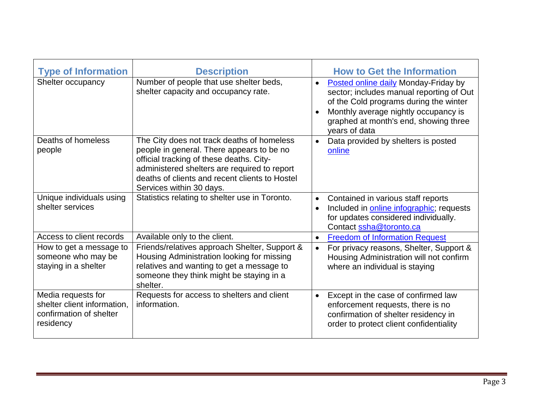| <b>Type of Information</b>                                                                | <b>Description</b>                                                                                                                                                                                                                                                |                        | <b>How to Get the Information</b>                                                                                                                                                                                                   |
|-------------------------------------------------------------------------------------------|-------------------------------------------------------------------------------------------------------------------------------------------------------------------------------------------------------------------------------------------------------------------|------------------------|-------------------------------------------------------------------------------------------------------------------------------------------------------------------------------------------------------------------------------------|
| Shelter occupancy                                                                         | Number of people that use shelter beds,<br>shelter capacity and occupancy rate.                                                                                                                                                                                   | $\bullet$<br>$\bullet$ | <b>Posted online daily Monday-Friday by</b><br>sector; includes manual reporting of Out<br>of the Cold programs during the winter<br>Monthly average nightly occupancy is<br>graphed at month's end, showing three<br>years of data |
| Deaths of homeless<br>people                                                              | The City does not track deaths of homeless<br>people in general. There appears to be no<br>official tracking of these deaths. City-<br>administered shelters are required to report<br>deaths of clients and recent clients to Hostel<br>Services within 30 days. | $\bullet$              | Data provided by shelters is posted<br>online                                                                                                                                                                                       |
| Unique individuals using<br>shelter services                                              | Statistics relating to shelter use in Toronto.                                                                                                                                                                                                                    | $\bullet$<br>$\bullet$ | Contained in various staff reports<br>Included in online infographic; requests<br>for updates considered individually.<br>Contact ssha@toronto.ca                                                                                   |
| Access to client records                                                                  | Available only to the client.                                                                                                                                                                                                                                     | $\bullet$              | <b>Freedom of Information Request</b>                                                                                                                                                                                               |
| How to get a message to<br>someone who may be<br>staying in a shelter                     | Friends/relatives approach Shelter, Support &<br>Housing Administration looking for missing<br>relatives and wanting to get a message to<br>someone they think might be staying in a<br>shelter.                                                                  | $\bullet$              | For privacy reasons, Shelter, Support &<br>Housing Administration will not confirm<br>where an individual is staying                                                                                                                |
| Media requests for<br>shelter client information,<br>confirmation of shelter<br>residency | Requests for access to shelters and client<br>information.                                                                                                                                                                                                        | $\bullet$              | Except in the case of confirmed law<br>enforcement requests, there is no<br>confirmation of shelter residency in<br>order to protect client confidentiality                                                                         |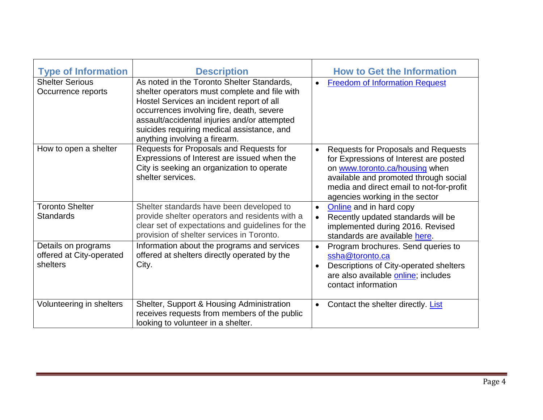| <b>Type of Information</b>                                  | <b>Description</b>                                                                                                                                                                                                                                                                                                   | <b>How to Get the Information</b>                                                                                                                                                                                                                          |
|-------------------------------------------------------------|----------------------------------------------------------------------------------------------------------------------------------------------------------------------------------------------------------------------------------------------------------------------------------------------------------------------|------------------------------------------------------------------------------------------------------------------------------------------------------------------------------------------------------------------------------------------------------------|
| <b>Shelter Serious</b><br>Occurrence reports                | As noted in the Toronto Shelter Standards,<br>shelter operators must complete and file with<br>Hostel Services an incident report of all<br>occurrences involving fire, death, severe<br>assault/accidental injuries and/or attempted<br>suicides requiring medical assistance, and<br>anything involving a firearm. | <b>Freedom of Information Request</b><br>$\bullet$                                                                                                                                                                                                         |
| How to open a shelter                                       | Requests for Proposals and Requests for<br>Expressions of Interest are issued when the<br>City is seeking an organization to operate<br>shelter services.                                                                                                                                                            | <b>Requests for Proposals and Requests</b><br>$\bullet$<br>for Expressions of Interest are posted<br>on www.toronto.ca/housing when<br>available and promoted through social<br>media and direct email to not-for-profit<br>agencies working in the sector |
| <b>Toronto Shelter</b><br><b>Standards</b>                  | Shelter standards have been developed to<br>provide shelter operators and residents with a<br>clear set of expectations and guidelines for the<br>provision of shelter services in Toronto.                                                                                                                          | Online and in hard copy<br>$\bullet$<br>Recently updated standards will be<br>implemented during 2016. Revised<br>standards are available here.                                                                                                            |
| Details on programs<br>offered at City-operated<br>shelters | Information about the programs and services<br>offered at shelters directly operated by the<br>City.                                                                                                                                                                                                                 | Program brochures. Send queries to<br>$\bullet$<br>ssha@toronto.ca<br>Descriptions of City-operated shelters<br>$\bullet$<br>are also available online; includes<br>contact information                                                                    |
| Volunteering in shelters                                    | Shelter, Support & Housing Administration<br>receives requests from members of the public<br>looking to volunteer in a shelter.                                                                                                                                                                                      | Contact the shelter directly. List<br>$\bullet$                                                                                                                                                                                                            |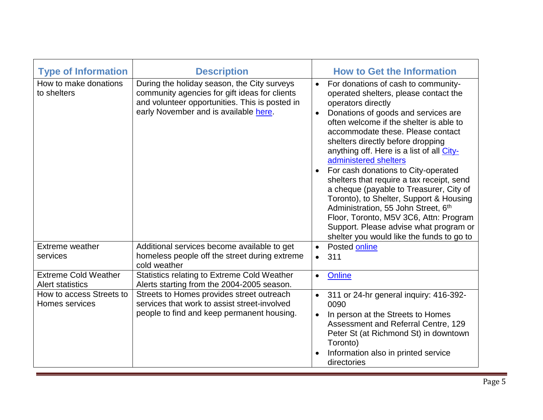| <b>Type of Information</b>                             | <b>Description</b>                                                                                                                                                                      |                        | <b>How to Get the Information</b>                                                                                                                                                                                                                                                                                                                                                                                                                                                                                                                                                                                                                                                      |
|--------------------------------------------------------|-----------------------------------------------------------------------------------------------------------------------------------------------------------------------------------------|------------------------|----------------------------------------------------------------------------------------------------------------------------------------------------------------------------------------------------------------------------------------------------------------------------------------------------------------------------------------------------------------------------------------------------------------------------------------------------------------------------------------------------------------------------------------------------------------------------------------------------------------------------------------------------------------------------------------|
| How to make donations<br>to shelters                   | During the holiday season, the City surveys<br>community agencies for gift ideas for clients<br>and volunteer opportunities. This is posted in<br>early November and is available here. | $\bullet$<br>$\bullet$ | For donations of cash to community-<br>operated shelters, please contact the<br>operators directly<br>Donations of goods and services are<br>often welcome if the shelter is able to<br>accommodate these. Please contact<br>shelters directly before dropping<br>anything off. Here is a list of all City-<br>administered shelters<br>For cash donations to City-operated<br>shelters that require a tax receipt, send<br>a cheque (payable to Treasurer, City of<br>Toronto), to Shelter, Support & Housing<br>Administration, 55 John Street, 6th<br>Floor, Toronto, M5V 3C6, Attn: Program<br>Support. Please advise what program or<br>shelter you would like the funds to go to |
| Extreme weather<br>services                            | Additional services become available to get<br>homeless people off the street during extreme<br>cold weather                                                                            | $\bullet$<br>$\bullet$ | Posted online<br>311                                                                                                                                                                                                                                                                                                                                                                                                                                                                                                                                                                                                                                                                   |
| <b>Extreme Cold Weather</b><br><b>Alert statistics</b> | <b>Statistics relating to Extreme Cold Weather</b><br>Alerts starting from the 2004-2005 season.                                                                                        | $\bullet$              | Online                                                                                                                                                                                                                                                                                                                                                                                                                                                                                                                                                                                                                                                                                 |
| How to access Streets to<br>Homes services             | Streets to Homes provides street outreach<br>services that work to assist street-involved<br>people to find and keep permanent housing.                                                 | $\bullet$              | 311 or 24-hr general inquiry: 416-392-<br>0090<br>In person at the Streets to Homes<br>Assessment and Referral Centre, 129<br>Peter St (at Richmond St) in downtown<br>Toronto)<br>Information also in printed service<br>directories                                                                                                                                                                                                                                                                                                                                                                                                                                                  |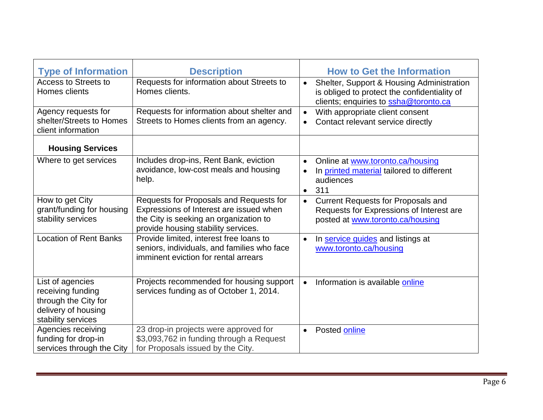| <b>Type of Information</b>                                                                                 | <b>Description</b>                                                                                                                                                  | <b>How to Get the Information</b>                                                                                                        |
|------------------------------------------------------------------------------------------------------------|---------------------------------------------------------------------------------------------------------------------------------------------------------------------|------------------------------------------------------------------------------------------------------------------------------------------|
| Access to Streets to<br>Homes clients                                                                      | Requests for information about Streets to<br>Homes clients.                                                                                                         | Shelter, Support & Housing Administration<br>is obliged to protect the confidentiality of<br>clients; enquiries to ssha@toronto.ca       |
| Agency requests for<br>shelter/Streets to Homes<br>client information                                      | Requests for information about shelter and<br>Streets to Homes clients from an agency.                                                                              | With appropriate client consent<br>$\bullet$<br>Contact relevant service directly                                                        |
| <b>Housing Services</b>                                                                                    |                                                                                                                                                                     |                                                                                                                                          |
| Where to get services                                                                                      | Includes drop-ins, Rent Bank, eviction<br>avoidance, low-cost meals and housing<br>help.                                                                            | Online at www.toronto.ca/housing<br>$\bullet$<br>In printed material tailored to different<br>$\bullet$<br>audiences<br>311<br>$\bullet$ |
| How to get City<br>grant/funding for housing<br>stability services                                         | Requests for Proposals and Requests for<br>Expressions of Interest are issued when<br>the City is seeking an organization to<br>provide housing stability services. | <b>Current Requests for Proposals and</b><br>$\bullet$<br>Requests for Expressions of Interest are<br>posted at www.toronto.ca/housing   |
| <b>Location of Rent Banks</b>                                                                              | Provide limited, interest free loans to<br>seniors, individuals, and families who face<br>imminent eviction for rental arrears                                      | In service guides and listings at<br>www.toronto.ca/housing                                                                              |
| List of agencies<br>receiving funding<br>through the City for<br>delivery of housing<br>stability services | Projects recommended for housing support<br>services funding as of October 1, 2014.                                                                                 | Information is available online<br>$\bullet$                                                                                             |
| Agencies receiving<br>funding for drop-in<br>services through the City                                     | 23 drop-in projects were approved for<br>\$3,093,762 in funding through a Request<br>for Proposals issued by the City.                                              | Posted online<br>$\bullet$                                                                                                               |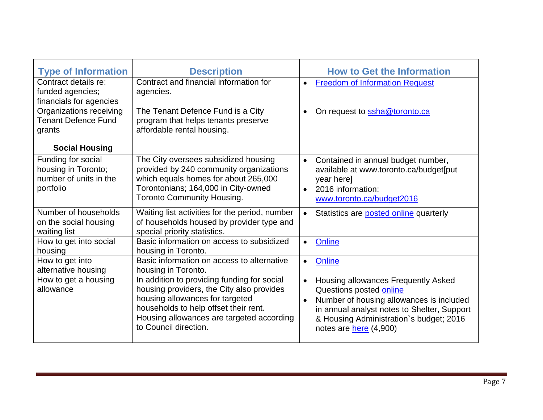| <b>Type of Information</b>                                                       | <b>Description</b>                                                                                                                                                                                                                         | <b>How to Get the Information</b>                                                                                                                                                                                                                        |
|----------------------------------------------------------------------------------|--------------------------------------------------------------------------------------------------------------------------------------------------------------------------------------------------------------------------------------------|----------------------------------------------------------------------------------------------------------------------------------------------------------------------------------------------------------------------------------------------------------|
| Contract details re:<br>funded agencies;<br>financials for agencies              | Contract and financial information for<br>agencies.                                                                                                                                                                                        | <b>Freedom of Information Request</b><br>$\bullet$                                                                                                                                                                                                       |
| Organizations receiving<br><b>Tenant Defence Fund</b><br>grants                  | The Tenant Defence Fund is a City<br>program that helps tenants preserve<br>affordable rental housing.                                                                                                                                     | On request to <b>ssha@toronto.ca</b><br>$\bullet$                                                                                                                                                                                                        |
| <b>Social Housing</b>                                                            |                                                                                                                                                                                                                                            |                                                                                                                                                                                                                                                          |
| Funding for social<br>housing in Toronto;<br>number of units in the<br>portfolio | The City oversees subsidized housing<br>provided by 240 community organizations<br>which equals homes for about 265,000<br>Torontonians; 164,000 in City-owned<br><b>Toronto Community Housing.</b>                                        | Contained in annual budget number,<br>$\bullet$<br>available at www.toronto.ca/budget[put<br>year here]<br>2016 information:<br>$\bullet$<br>www.toronto.ca/budget2016                                                                                   |
| Number of households<br>on the social housing<br>waiting list                    | Waiting list activities for the period, number<br>of households housed by provider type and<br>special priority statistics.                                                                                                                | Statistics are <b>posted online</b> quarterly<br>$\bullet$                                                                                                                                                                                               |
| How to get into social<br>housing                                                | Basic information on access to subsidized<br>housing in Toronto.                                                                                                                                                                           | Online<br>$\bullet$                                                                                                                                                                                                                                      |
| How to get into<br>alternative housing                                           | Basic information on access to alternative<br>housing in Toronto.                                                                                                                                                                          | Online<br>$\bullet$                                                                                                                                                                                                                                      |
| How to get a housing<br>allowance                                                | In addition to providing funding for social<br>housing providers, the City also provides<br>housing allowances for targeted<br>households to help offset their rent.<br>Housing allowances are targeted according<br>to Council direction. | Housing allowances Frequently Asked<br>$\bullet$<br>Questions posted online<br>Number of housing allowances is included<br>$\bullet$<br>in annual analyst notes to Shelter, Support<br>& Housing Administration's budget; 2016<br>notes are here (4,900) |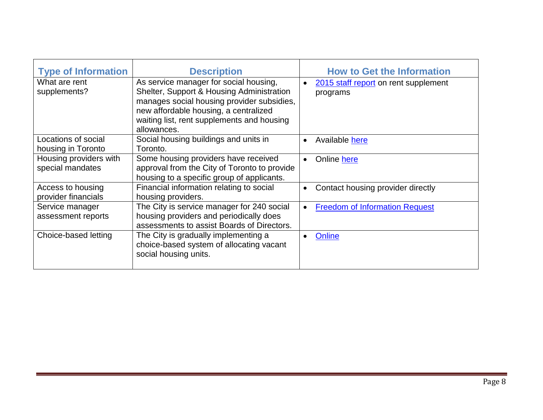| <b>Type of Information</b>                 | <b>Description</b>                                                                                                                                                                                                                      | <b>How to Get the Information</b>                             |
|--------------------------------------------|-----------------------------------------------------------------------------------------------------------------------------------------------------------------------------------------------------------------------------------------|---------------------------------------------------------------|
| What are rent<br>supplements?              | As service manager for social housing,<br>Shelter, Support & Housing Administration<br>manages social housing provider subsidies,<br>new affordable housing, a centralized<br>waiting list, rent supplements and housing<br>allowances. | 2015 staff report on rent supplement<br>$\bullet$<br>programs |
| Locations of social<br>housing in Toronto  | Social housing buildings and units in<br>Toronto.                                                                                                                                                                                       | Available here<br>$\bullet$                                   |
| Housing providers with<br>special mandates | Some housing providers have received<br>approval from the City of Toronto to provide<br>housing to a specific group of applicants.                                                                                                      | Online here<br>$\bullet$                                      |
| Access to housing<br>provider financials   | Financial information relating to social<br>housing providers.                                                                                                                                                                          | Contact housing provider directly<br>$\bullet$                |
| Service manager<br>assessment reports      | The City is service manager for 240 social<br>housing providers and periodically does<br>assessments to assist Boards of Directors.                                                                                                     | <b>Freedom of Information Request</b><br>$\bullet$            |
| Choice-based letting                       | The City is gradually implementing a<br>choice-based system of allocating vacant<br>social housing units.                                                                                                                               | Online                                                        |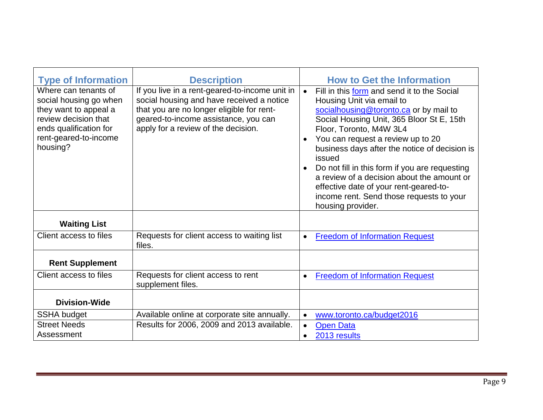| <b>Type of Information</b>                                                                                                                                     | <b>Description</b>                                                                                                                                                                                                      | <b>How to Get the Information</b>                                                                                                                                                                                                                                                                                                                                                                                                                                                                                                            |
|----------------------------------------------------------------------------------------------------------------------------------------------------------------|-------------------------------------------------------------------------------------------------------------------------------------------------------------------------------------------------------------------------|----------------------------------------------------------------------------------------------------------------------------------------------------------------------------------------------------------------------------------------------------------------------------------------------------------------------------------------------------------------------------------------------------------------------------------------------------------------------------------------------------------------------------------------------|
| Where can tenants of<br>social housing go when<br>they want to appeal a<br>review decision that<br>ends qualification for<br>rent-geared-to-income<br>housing? | If you live in a rent-geared-to-income unit in<br>social housing and have received a notice<br>that you are no longer eligible for rent-<br>geared-to-income assistance, you can<br>apply for a review of the decision. | Fill in this form and send it to the Social<br>$\bullet$<br>Housing Unit via email to<br>socialhousing@toronto.ca or by mail to<br>Social Housing Unit, 365 Bloor St E, 15th<br>Floor, Toronto, M4W 3L4<br>You can request a review up to 20<br>$\bullet$<br>business days after the notice of decision is<br>issued<br>Do not fill in this form if you are requesting<br>$\bullet$<br>a review of a decision about the amount or<br>effective date of your rent-geared-to-<br>income rent. Send those requests to your<br>housing provider. |
| <b>Waiting List</b>                                                                                                                                            |                                                                                                                                                                                                                         |                                                                                                                                                                                                                                                                                                                                                                                                                                                                                                                                              |
| Client access to files                                                                                                                                         | Requests for client access to waiting list<br>files.                                                                                                                                                                    | <b>Freedom of Information Request</b><br>$\bullet$                                                                                                                                                                                                                                                                                                                                                                                                                                                                                           |
| <b>Rent Supplement</b>                                                                                                                                         |                                                                                                                                                                                                                         |                                                                                                                                                                                                                                                                                                                                                                                                                                                                                                                                              |
| Client access to files                                                                                                                                         | Requests for client access to rent<br>supplement files.                                                                                                                                                                 | <b>Freedom of Information Request</b><br>$\bullet$                                                                                                                                                                                                                                                                                                                                                                                                                                                                                           |
| <b>Division-Wide</b>                                                                                                                                           |                                                                                                                                                                                                                         |                                                                                                                                                                                                                                                                                                                                                                                                                                                                                                                                              |
| <b>SSHA budget</b>                                                                                                                                             | Available online at corporate site annually.                                                                                                                                                                            | www.toronto.ca/budget2016<br>$\bullet$                                                                                                                                                                                                                                                                                                                                                                                                                                                                                                       |
| <b>Street Needs</b>                                                                                                                                            | Results for 2006, 2009 and 2013 available.                                                                                                                                                                              | <b>Open Data</b><br>$\bullet$                                                                                                                                                                                                                                                                                                                                                                                                                                                                                                                |
| Assessment                                                                                                                                                     |                                                                                                                                                                                                                         | 2013 results<br>$\bullet$                                                                                                                                                                                                                                                                                                                                                                                                                                                                                                                    |